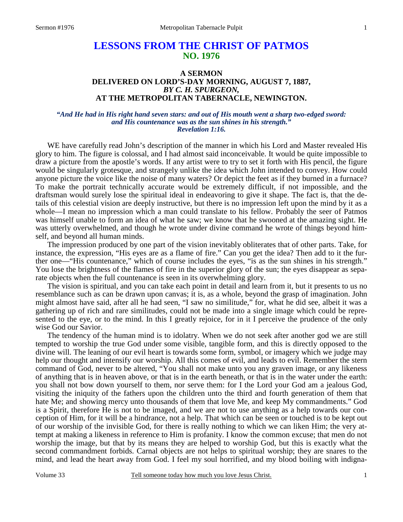# **LESSONS FROM THE CHRIST OF PATMOS NO. 1976**

## **A SERMON DELIVERED ON LORD'S-DAY MORNING, AUGUST 7, 1887,**  *BY C. H. SPURGEON,*  **AT THE METROPOLITAN TABERNACLE, NEWINGTON.**

#### *"And He had in His right hand seven stars: and out of His mouth went a sharp two-edged sword: and His countenance was as the sun shines in his strength." Revelation 1:16.*

WE have carefully read John's description of the manner in which his Lord and Master revealed His glory to him. The figure is colossal, and I had almost said inconceivable. It would be quite impossible to draw a picture from the apostle's words. If any artist were to try to set it forth with His pencil, the figure would be singularly grotesque, and strangely unlike the idea which John intended to convey. How could anyone picture the voice like the noise of many waters? Or depict the feet as if they burned in a furnace? To make the portrait technically accurate would be extremely difficult, if not impossible, and the draftsman would surely lose the spiritual ideal in endeavoring to give it shape. The fact is, that the details of this celestial vision are deeply instructive, but there is no impression left upon the mind by it as a whole—I mean no impression which a man could translate to his fellow. Probably the seer of Patmos was himself unable to form an idea of what he saw; we know that he swooned at the amazing sight. He was utterly overwhelmed, and though he wrote under divine command he wrote of things beyond himself, and beyond all human minds.

The impression produced by one part of the vision inevitably obliterates that of other parts. Take, for instance, the expression, "His eyes are as a flame of fire." Can you get the idea? Then add to it the further one—"His countenance," which of course includes the eyes, "is as the sun shines in his strength." You lose the brightness of the flames of fire in the superior glory of the sun; the eyes disappear as separate objects when the full countenance is seen in its overwhelming glory.

The vision is spiritual, and you can take each point in detail and learn from it, but it presents to us no resemblance such as can be drawn upon canvas; it is, as a whole, beyond the grasp of imagination. John might almost have said, after all he had seen, "I saw no similitude," for, what he did see, albeit it was a gathering up of rich and rare similitudes, could not be made into a single image which could be represented to the eye, or to the mind. In this I greatly rejoice, for in it I perceive the prudence of the only wise God our Savior.

The tendency of the human mind is to idolatry. When we do not seek after another god we are still tempted to worship the true God under some visible, tangible form, and this is directly opposed to the divine will. The leaning of our evil heart is towards some form, symbol, or imagery which we judge may help our thought and intensify our worship. All this comes of evil, and leads to evil. Remember the stern command of God, never to be altered, "You shall not make unto you any graven image, or any likeness of anything that is in heaven above, or that is in the earth beneath, or that is in the water under the earth: you shall not bow down yourself to them, nor serve them: for I the Lord your God am a jealous God, visiting the iniquity of the fathers upon the children unto the third and fourth generation of them that hate Me; and showing mercy unto thousands of them that love Me, and keep My commandments." God is a Spirit, therefore He is not to be imaged, and we are not to use anything as a help towards our conception of Him, for it will be a hindrance, not a help. That which can be seen or touched is to be kept out of our worship of the invisible God, for there is really nothing to which we can liken Him; the very attempt at making a likeness in reference to Him is profanity. I know the common excuse; that men do not worship the image, but that by its means they are helped to worship God, but this is exactly what the second commandment forbids. Carnal objects are not helps to spiritual worship; they are snares to the mind, and lead the heart away from God. I feel my soul horrified, and my blood boiling with indigna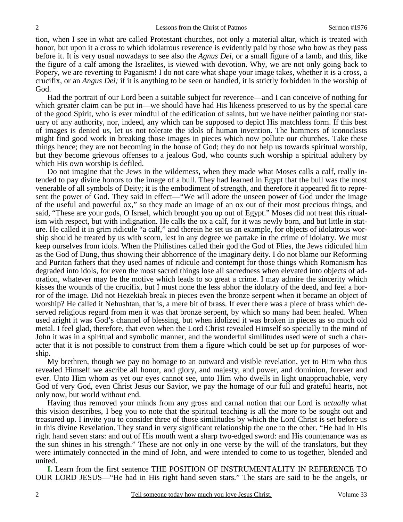tion, when I see in what are called Protestant churches, not only a material altar, which is treated with honor, but upon it a cross to which idolatrous reverence is evidently paid by those who bow as they pass before it. It is very usual nowadays to see also the *Agnus Dei,* or a small figure of a lamb, and this, like the figure of a calf among the Israelites, is viewed with devotion. Why, we are not only going back to Popery, we are reverting to Paganism! I do not care what shape your image takes, whether it is a cross, a crucifix, or an *Angus Dei;* if it is anything to be seen or handled, it is strictly forbidden in the worship of God.

Had the portrait of our Lord been a suitable subject for reverence—and I can conceive of nothing for which greater claim can be put in—we should have had His likeness preserved to us by the special care of the good Spirit, who is ever mindful of the edification of saints, but we have neither painting nor statuary of any authority, nor, indeed, any which can be supposed to depict His matchless form. If this best of images is denied us, let us not tolerate the idols of human invention. The hammers of iconoclasts might find good work in breaking those images in pieces which now pollute our churches. Take these things hence; they are not becoming in the house of God; they do not help us towards spiritual worship, but they become grievous offenses to a jealous God, who counts such worship a spiritual adultery by which His own worship is defiled.

Do not imagine that the Jews in the wilderness, when they made what Moses calls a calf, really intended to pay divine honors to the image of a bull. They had learned in Egypt that the bull was the most venerable of all symbols of Deity; it is the embodiment of strength, and therefore it appeared fit to represent the power of God. They said in effect—"We will adore the unseen power of God under the image of the useful and powerful ox," so they made an image of an ox out of their most precious things, and said, "These are your gods, O Israel, which brought you up out of Egypt." Moses did not treat this ritualism with respect, but with indignation. He calls the ox a calf, for it was newly born, and but little in stature. He called it in grim ridicule "a calf," and therein he set us an example, for objects of idolatrous worship should be treated by us with scorn, lest in any degree we partake in the crime of idolatry. We must keep ourselves from idols. When the Philistines called their god the God of Flies, the Jews ridiculed him as the God of Dung, thus showing their abhorrence of the imaginary deity. I do not blame our Reforming and Puritan fathers that they used names of ridicule and contempt for those things which Romanism has degraded into idols, for even the most sacred things lose all sacredness when elevated into objects of adoration, whatever may be the motive which leads to so great a crime. I may admire the sincerity which kisses the wounds of the crucifix, but I must none the less abhor the idolatry of the deed, and feel a horror of the image. Did not Hezekiah break in pieces even the bronze serpent when it became an object of worship? He called it Nehushtan, that is, a mere bit of brass. If ever there was a piece of brass which deserved religious regard from men it was that bronze serpent, by which so many had been healed. When used aright it was God's channel of blessing, but when idolized it was broken in pieces as so much old metal. I feel glad, therefore, that even when the Lord Christ revealed Himself so specially to the mind of John it was in a spiritual and symbolic manner, and the wonderful similitudes used were of such a character that it is not possible to construct from them a figure which could be set up for purposes of worship.

My brethren, though we pay no homage to an outward and visible revelation, yet to Him who thus revealed Himself we ascribe all honor, and glory, and majesty, and power, and dominion, forever and ever. Unto Him whom as yet our eyes cannot see, unto Him who dwells in light unapproachable, very God of very God, even Christ Jesus our Savior, we pay the homage of our full and grateful hearts, not only now, but world without end.

Having thus removed your minds from any gross and carnal notion that our Lord is *actually* what this vision describes, I beg you to note that the spiritual teaching is all the more to be sought out and treasured up. I invite you to consider three of those similitudes by which the Lord Christ is set before us in this divine Revelation. They stand in very significant relationship the one to the other. "He had in His right hand seven stars: and out of His mouth went a sharp two-edged sword: and His countenance was as the sun shines in his strength." These are not only in one verse by the will of the translators, but they were intimately connected in the mind of John, and were intended to come to us together, blended and united.

**I.** Learn from the first sentence THE POSITION OF INSTRUMENTALITY IN REFERENCE TO OUR LORD JESUS—"He had in His right hand seven stars." The stars are said to be the angels, or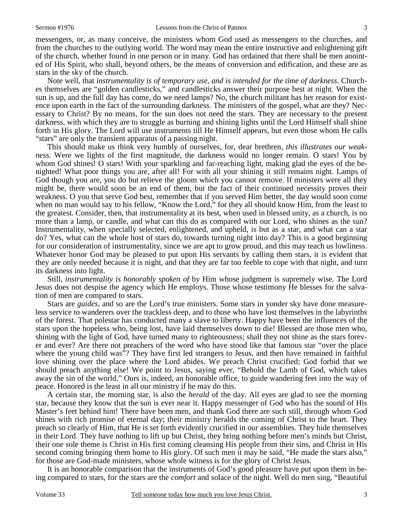messengers, or, as many conceive, the ministers whom God used as messengers to the churches, and from the churches to the outlying world. The word may mean the entire instructive and enlightening gift of the church, whether found in one person or in many. God has ordained that there shall be men anointed of His Spirit, who shall, beyond others, be the means of conversion and edification, and these are as stars in the sky of the church.

Note well, that *instrumentality is of temporary use, and is intended for the time of darkness*. Churches themselves are "golden candlesticks," and candlesticks answer their purpose best at night. When the sun is up, and the full day has come, do we need lamps? No, the church militant has her reason for existence upon earth in the fact of the surrounding darkness. The ministers of the gospel, what are they? Necessary to Christ? By no means, for the sun does not need the stars. They are necessary to the present darkness, with which they are to struggle as burning and shining lights until the Lord Himself shall shine forth in His glory. The Lord will use instruments till He Himself appears, but even those whom He calls "stars" are only the transient apparatus of a passing night.

This should make us think very humbly of ourselves, for, dear brethren, *this illustrates our weaknes*s. Were we lights of the first magnitude, the darkness would no longer remain. O stars! You by whom God shines! O stars! With your sparkling and far-reaching light, making glad the eyes of the benighted! What poor things you are, after all! For with all your shining it still remains night. Lamps of God though you are, you do but relieve the gloom which you cannot remove. If ministers were all they might be, there would soon be an end of them, but the fact of their continued necessity proves their weakness. O you that serve God best, remember that if you served Him better, the day would soon come when no man would say to his fellow, "Know the Lord," for they all should know Him, from the least to the greatest. Consider, then, that instrumentality at its best, when used in blessed unity, as a church, is no more than a lamp, or candle, and what can this do as compared with our Lord, who shines as the sun? Instrumentality, when specially selected, enlightened, and upheld, is but as a star, and what can a star do? Yes, what can the whole host of stars do, towards turning night into day? This is a good beginning for our consideration of instrumentality, since we are apt to grow proud, and this may teach us lowliness. Whatever honor God may be pleased to put upon His servants by calling them stars, it is evident that they are only needed because it is night, and that they are far too feeble to cope with that night, and turn its darkness into light.

Still, *instrumentality is honorably spoken of* by Him whose judgment is supremely wise. The Lord Jesus does not despise the agency which He employs. Those whose testimony He blesses for the salvation of men are compared to stars.

Stars are *guides,* and so are the Lord's true ministers. Some stars in yonder sky have done measureless service to wanderers over the trackless deep, and to those who have lost themselves in the labyrinths of the forest. That polestar has conducted many a slave to liberty. Happy have been the influences of the stars upon the hopeless who, being lost, have laid themselves down to die! Blessed are those men who, shining with the light of God, have turned many to righteousness; shall they not shine as the stars forever and ever? Are there not preachers of the word who have stood like that famous star "over the place where the young child was"? They have first led strangers to Jesus, and then have remained in faithful love shining over the place where the Lord abides. We preach Christ crucified; God forbid that we should preach anything else! We point to Jesus, saying ever, "Behold the Lamb of God, which takes away the sin of the world." Ours is, indeed, an honorable office, to guide wandering feet into the way of peace. Honored is the least in all our ministry if he may do this.

A certain star, the morning star, is also the *herald* of the day. All eyes are glad to see the morning star, because they know that the sun is ever near it. Happy messenger of God who has the sound of His Master's feet behind him! There have been men, and thank God there are such still, through whom God shines with rich promise of eternal day; their ministry heralds the coming of Christ to the heart. They preach so clearly of Him, that He is set forth evidently crucified in our assemblies. They hide themselves in their Lord. They have nothing to lift up but Christ, they bring nothing before men's minds but Christ, their one sole theme is Christ in His first coming cleansing His people from their sins, and Christ in His second coming bringing them home to His glory. Of such men it may be said, "He made the stars also," for those are God-made ministers, whose whole witness is for the glory of Christ Jesus.

It is an honorable comparison that the instruments of God's good pleasure have put upon them in being compared to stars, for the stars are the *comfort* and solace of the night. Well do men sing, "Beautiful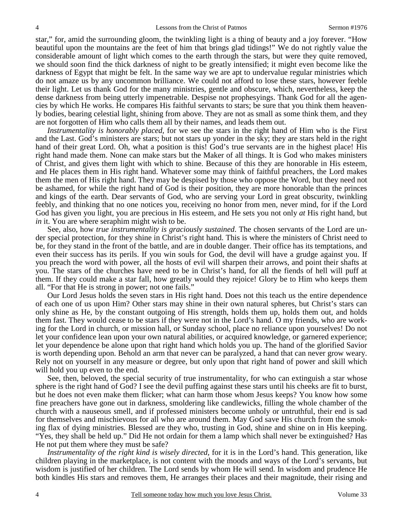star," for, amid the surrounding gloom, the twinkling light is a thing of beauty and a joy forever. "How beautiful upon the mountains are the feet of him that brings glad tidings!" We do not rightly value the considerable amount of light which comes to the earth through the stars, but were they quite removed, we should soon find the thick darkness of night to be greatly intensified; it might even become like the darkness of Egypt that might be felt. In the same way we are apt to undervalue regular ministries which do not amaze us by any uncommon brilliance. We could not afford to lose these stars, however feeble their light. Let us thank God for the many ministries, gentle and obscure, which, nevertheless, keep the dense darkness from being utterly impenetrable. Despise not prophesyings. Thank God for all the agencies by which He works. He compares His faithful servants to stars; be sure that you think them heavenly bodies, bearing celestial light, shining from above. They are not as small as some think them, and they are not forgotten of Him who calls them all by their names, and leads them out.

*Instrumentality is honorably placed,* for we see the stars in the right hand of Him who is the First and the Last. God's ministers are stars; but not stars up yonder in the sky; they are stars held in the right hand of their great Lord. Oh, what a position is this! God's true servants are in the highest place! His right hand made them. None can make stars but the Maker of all things. It is God who makes ministers of Christ, and gives them light with which to shine. Because of this they are honorable in His esteem, and He places them in His right hand. Whatever some may think of faithful preachers, the Lord makes them the men of His right hand. They may be despised by those who oppose the Word, but they need not be ashamed, for while the right hand of God is their position, they are more honorable than the princes and kings of the earth. Dear servants of God, who are serving your Lord in great obscurity, twinkling feebly, and thinking that no one notices you, receiving no honor from men, never mind, for if the Lord God has given you light, you are precious in His esteem, and He sets you not only *at* His right hand, but *in* it. You are where seraphim might wish to be.

See, also, how *true instrumentality is graciously sustained*. The chosen servants of the Lord are under special protection, for they shine in Christ's right hand. This is where the ministers of Christ need to be, for they stand in the front of the battle, and are in double danger. Their office has its temptations, and even their success has its perils. If you win souls for God, the devil will have a grudge against you. If you preach the word with power, all the hosts of evil will sharpen their arrows, and point their shafts at you. The stars of the churches have need to be in Christ's hand, for all the fiends of hell will puff at them. If they could make a star fall, how greatly would they rejoice! Glory be to Him who keeps them all. "For that He is strong in power; not one fails."

Our Lord Jesus holds the seven stars in His right hand. Does not this teach us the entire dependence of each one of us upon Him? Other stars may shine in their own natural spheres, but Christ's stars can only shine as He, by the constant outgoing of His strength, holds them up, holds them out, and holds them fast. They would cease to be stars if they were not in the Lord's hand. O my friends, who are working for the Lord in church, or mission hall, or Sunday school, place no reliance upon yourselves! Do not let your confidence lean upon your own natural abilities, or acquired knowledge, or garnered experience; let your dependence be alone upon that right hand which holds you up. The hand of the glorified Savior is worth depending upon. Behold an arm that never can be paralyzed, a hand that can never grow weary. Rely not on yourself in any measure or degree, but only upon that right hand of power and skill which will hold you up even to the end.

See, then, beloved, the special security of true instrumentality, for who can extinguish a star whose sphere is the right hand of God? I see the devil puffing against these stars until his cheeks are fit to burst, but he does not even make them flicker; what can harm those whom Jesus keeps? You know how some fine preachers have gone out in darkness, smoldering like candlewicks, filling the whole chamber of the church with a nauseous smell, and if professed ministers become unholy or untruthful, their end is sad for themselves and mischievous for all who are around them. May God save His church from the smoking flax of dying ministries. Blessed are they who, trusting in God, shine and shine on in His keeping. "Yes, they shall be held up." Did He not ordain for them a lamp which shall never be extinguished? Has He not put them where they must be safe?

*Instrumentality of the right kind is wisely directed,* for it is in the Lord's hand. This generation, like children playing in the marketplace, is not content with the moods and ways of the Lord's servants, but wisdom is justified of her children. The Lord sends by whom He will send. In wisdom and prudence He both kindles His stars and removes them, He arranges their places and their magnitude, their rising and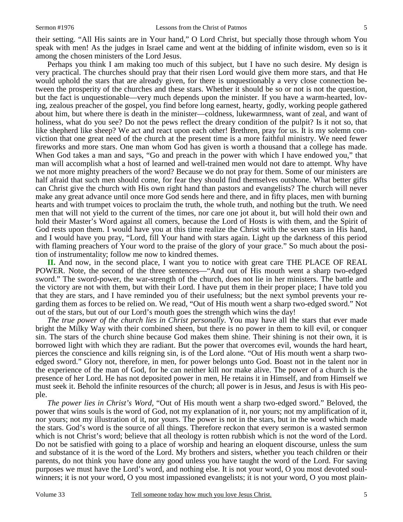their setting. "All His saints are in Your hand," O Lord Christ, but specially those through whom You speak with men! As the judges in Israel came and went at the bidding of infinite wisdom, even so is it among the chosen ministers of the Lord Jesus.

Perhaps you think I am making too much of this subject, but I have no such desire. My design is very practical. The churches should pray that their risen Lord would give them more stars, and that He would uphold the stars that are already given, for there is unquestionably a very close connection between the prosperity of the churches and these stars. Whether it should be so or not is not the question, but the fact is unquestionable—very much depends upon the minister. If you have a warm-hearted, loving, zealous preacher of the gospel, you find before long earnest, hearty, godly, working people gathered about him, but where there is death in the minister—coldness, lukewarmness, want of zeal, and want of holiness, what do you see? Do not the pews reflect the dreary condition of the pulpit? Is it not so, that like shepherd like sheep? We act and react upon each other! Brethren, pray for us. It is my solemn conviction that one great need of the church at the present time is a more faithful ministry. We need fewer fireworks and more stars. One man whom God has given is worth a thousand that a college has made. When God takes a man and says, "Go and preach in the power with which I have endowed you," that man will accomplish what a host of learned and well-trained men would not dare to attempt. Why have we not more mighty preachers of the word? Because we do not pray for them. Some of our ministers are half afraid that such men should come, for fear they should find themselves outshone. What better gifts can Christ give the church with His own right hand than pastors and evangelists? The church will never make any great advance until once more God sends here and there, and in fifty places, men with burning hearts and with trumpet voices to proclaim the truth, the whole truth, and nothing but the truth. We need men that will not yield to the current of the times, nor care one jot about it, but will hold their own and hold their Master's Word against all comers, because the Lord of Hosts is with them, and the Spirit of God rests upon them. I would have you at this time realize the Christ with the seven stars in His hand, and I would have you pray, "Lord, fill Your hand with stars again. Light up the darkness of this period with flaming preachers of Your word to the praise of the glory of your grace." So much about the position of instrumentality; follow me now to kindred themes.

**II.** And now, in the second place, I want you to notice with great care THE PLACE OF REAL POWER. Note, the second of the three sentences—"And out of His mouth went a sharp two-edged sword." The sword-power, the war-strength of the church, does not lie in her ministers. The battle and the victory are not with them, but with their Lord. I have put them in their proper place; I have told you that they are stars, and I have reminded you of their usefulness; but the next symbol prevents your regarding them as forces to be relied on. We read, "Out of His mouth went a sharp two-edged sword." Not out of the stars, but out of our Lord's mouth goes the strength which wins the day!

*The true power of the church lies in Christ personally*. You may have all the stars that ever made bright the Milky Way with their combined sheen, but there is no power in them to kill evil, or conquer sin. The stars of the church shine because God makes them shine. Their shining is not their own, it is borrowed light with which they are radiant. But the power that overcomes evil, wounds the hard heart, pierces the conscience and kills reigning sin, is of the Lord alone. "Out of His mouth went a sharp twoedged sword." Glory not, therefore, in men, for power belongs unto God. Boast not in the talent nor in the experience of the man of God, for he can neither kill nor make alive. The power of a church is the presence of her Lord. He has not deposited power in men, He retains it in Himself, and from Himself we must seek it. Behold the infinite resources of the church; all power is in Jesus, and Jesus is with His people.

*The power lies in Christ's Word,* "Out of His mouth went a sharp two-edged sword." Beloved, the power that wins souls is the word of God, not my explanation of it, nor yours; not my amplification of it, nor yours; not my illustration of it, nor yours. The power is not in the stars, but in the word which made the stars. God's word is the source of all things. Therefore reckon that every sermon is a wasted sermon which is not Christ's word; believe that all theology is rotten rubbish which is not the word of the Lord. Do not be satisfied with going to a place of worship and hearing an eloquent discourse, unless the sum and substance of it is the word of the Lord. My brothers and sisters, whether you teach children or their parents, do not think you have done any good unless you have taught the word of the Lord. For saving purposes we must have the Lord's word, and nothing else. It is not your word, O you most devoted soulwinners; it is not your word, O you most impassioned evangelists; it is not your word, O you most plain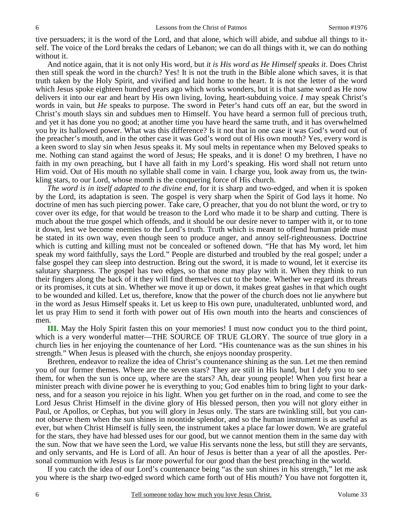tive persuaders; it is the word of the Lord, and that alone, which will abide, and subdue all things to itself. The voice of the Lord breaks the cedars of Lebanon; we can do all things with it, we can do nothing without it.

And notice again, that it is not only His word, but *it is His word as He Himself speaks it*. Does Christ then still speak the word in the church? Yes! It is not the truth in the Bible alone which saves, it is that truth taken by the Holy Spirit, and vivified and laid home to the heart. It is not the letter of the word which Jesus spoke eighteen hundred years ago which works wonders, but it is that same word as He now delivers it into our ear and heart by His own living, loving, heart-subduing voice. *I* may speak Christ's words in vain, but *He* speaks to purpose. The sword in Peter's hand cuts off an ear, but the sword in Christ's mouth slays sin and subdues men to Himself. You have heard a sermon full of precious truth, and yet it has done you no good; at another time you have heard the same truth, and it has overwhelmed you by its hallowed power. What was this difference? Is it not that in one case it was God's word out of the preacher's mouth, and in the other case it was God's word out of His own mouth? Yes, every word is a keen sword to slay sin when Jesus speaks it. My soul melts in repentance when my Beloved speaks to me. Nothing can stand against the word of Jesus; He speaks, and it is done! O my brethren, I have no faith in my own preaching, but I have all faith in my Lord's speaking. His word shall not return unto Him void. Out of His mouth no syllable shall come in vain. I charge you, look away from us, the twinkling stars, to our Lord, whose month is the conquering force of His church.

*The word is in itself adapted to the divine end,* for it is sharp and two-edged, and when it is spoken by the Lord, its adaptation is seen. The gospel is very sharp when the Spirit of God lays it home. No doctrine of men has such piercing power. Take care, O preacher, that you do not blunt the word, or try to cover over its edge, for that would be treason to the Lord who made it to be sharp and cutting. There is much about the true gospel which offends, and it should be our desire never to tamper with it, or to tone it down, lest we become enemies to the Lord's truth. Truth which is meant to offend human pride must be stated in its own way, even though seen to produce anger, and annoy self-righteousness. Doctrine which is cutting and killing must not be concealed or softened down. "He that has My word, let him speak my word faithfully, says the Lord." People are disturbed and troubled by the real gospel; under a false gospel they can sleep into destruction. Bring out the sword, it is made to wound, let it exercise its salutary sharpness. The gospel has two edges, so that none may play with it. When they think to run their fingers along the back of it they will find themselves cut to the bone. Whether we regard its threats or its promises, it cuts at sin. Whether we move it up or down, it makes great gashes in that which ought to be wounded and killed. Let us, therefore, know that the power of the church does not lie anywhere but in the word as Jesus Himself speaks it. Let us keep to His own pure, unadulterated, unblunted word, and let us pray Him to send it forth with power out of His own mouth into the hearts and consciences of men.

**III.** May the Holy Spirit fasten this on your memories! I must now conduct you to the third point, which is a very wonderful matter—THE SOURCE OF TRUE GLORY. The source of true glory in a church lies in her enjoying the countenance of her Lord. "His countenance was as the sun shines in his strength." When Jesus is pleased with the church, she enjoys noonday prosperity.

Brethren, endeavor to realize the idea of Christ's countenance shining as the sun. Let me then remind you of our former themes. Where are the seven stars? They are still in His hand, but I defy you to see them, for when the sun is once up, where are the stars? Ah, dear young people! When you first hear a minister preach with divine power he is everything to you; God enables him to bring light to your darkness, and for a season you rejoice in his light. When you get further on in the road, and come to see the Lord Jesus Christ Himself in the divine glory of His blessed person, then you will not glory either in Paul, or Apollos, or Cephas, but you will glory in Jesus only. The stars are twinkling still, but you cannot observe them when the sun shines in noontide splendor, and so the human instrument is as useful as ever, but when Christ Himself is fully seen, the instrument takes a place far lower down. We are grateful for the stars, they have had blessed uses for our good, but we cannot mention them in the same day with the sun. Now that we have seen the Lord, we value His servants none the less, but still they are servants, and only servants, and He is Lord of all. An hour of Jesus is better than a year of all the apostles. Personal communion with Jesus is far more powerful for our good than the best preaching in the world.

If you catch the idea of our Lord's countenance being "as the sun shines in his strength," let me ask you where is the sharp two-edged sword which came forth out of His mouth? You have not forgotten it,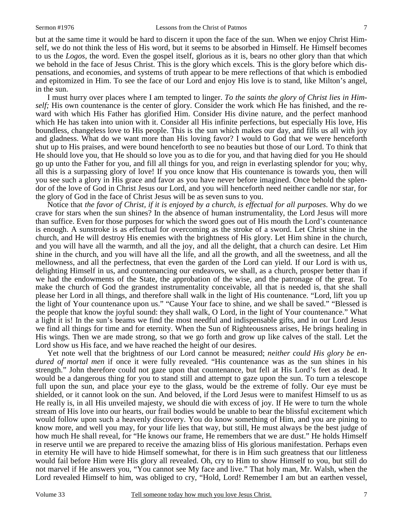but at the same time it would be hard to discern it upon the face of the sun. When we enjoy Christ Himself, we do not think the less of His word, but it seems to be absorbed in Himself. He Himself becomes to us the *Logos,* the word. Even the gospel itself, glorious as it is, bears no other glory than that which we behold in the face of Jesus Christ. This is the glory which excels. This is the glory before which dispensations, and economies, and systems of truth appear to be mere reflections of that which is embodied and epitomized in Him. To see the face of our Lord and enjoy His love is to stand, like Milton's angel, in the sun.

I must hurry over places where I am tempted to linger. *To the saints the glory of Christ lies in Himself;* His own countenance is the center of glory. Consider the work which He has finished, and the reward with which His Father has glorified Him. Consider His divine nature, and the perfect manhood which He has taken into union with it. Consider all His infinite perfections, but especially His love, His boundless, changeless love to His people. This is the sun which makes our day, and fills us all with joy and gladness. What do we want more than His loving favor? I would to God that we were henceforth shut up to His praises, and were bound henceforth to see no beauties but those of our Lord. To think that He should love you, that He should so love you as to die for you, and that having died for you He should go up unto the Father for you, and fill all things for you, and reign in everlasting splendor for you; why, all this is a surpassing glory of love! If you once know that His countenance is towards you, then will you see such a glory in His grace and favor as you have never before imagined. Once behold the splendor of the love of God in Christ Jesus our Lord, and you will henceforth need neither candle nor star, for the glory of God in the face of Christ Jesus will be as seven suns to you.

Notice that *the favor of Christ, if it is enjoyed by a church, is effectual for all purposes*. Why do we crave for stars when the sun shines? In the absence of human instrumentality, the Lord Jesus will more than suffice. Even for those purposes for which the sword goes out of His mouth the Lord's countenance is enough. A sunstroke is as effectual for overcoming as the stroke of a sword. Let Christ shine in the church, and He will destroy His enemies with the brightness of His glory. Let Him shine in the church, and you will have all the warmth, and all the joy, and all the delight, that a church can desire. Let Him shine in the church, and you will have all the life, and all the growth, and all the sweetness, and all the mellowness, and all the perfectness, that even the garden of the Lord can yield. If our Lord is with us, delighting Himself in us, and countenancing our endeavors, we shall, as a church, prosper better than if we had the endowments of the State, the approbation of the wise, and the patronage of the great. To make the church of God the grandest instrumentality conceivable, all that is needed is, that she shall please her Lord in all things, and therefore shall walk in the light of His countenance. "Lord, lift you up the light of Your countenance upon us." "Cause Your face to shine, and we shall be saved." "Blessed is the people that know the joyful sound: they shall walk, O Lord, in the light of Your countenance." What a light it is! In the sun's beams we find the most needful and indispensable gifts, and in our Lord Jesus we find all things for time and for eternity. When the Sun of Righteousness arises, He brings healing in His wings. Then we are made strong, so that we go forth and grow up like calves of the stall. Let the Lord show us His face, and we have reached the height of our desires.

Yet note well that the brightness of our Lord cannot be measured; *neither could His glory be endured of mortal men* if once it were fully revealed. "His countenance was as the sun shines in his strength." John therefore could not gaze upon that countenance, but fell at His Lord's feet as dead. It would be a dangerous thing for you to stand still and attempt to gaze upon the sun. To turn a telescope full upon the sun, and place your eye to the glass, would be the extreme of folly. Our eye must be shielded, or it cannot look on the sun. And beloved, if the Lord Jesus were to manifest Himself to us as He really is, in all His unveiled majesty, we should die with excess of joy. If He were to turn the whole stream of His love into our hearts, our frail bodies would be unable to bear the blissful excitement which would follow upon such a heavenly discovery. You do know something of Him, and you are pining to know more, and well you may, for your life lies that way, but still, He must always be the best judge of how much He shall reveal, for "He knows our frame, He remembers that we are dust." He holds Himself in reserve until we are prepared to receive the amazing bliss of His glorious manifestation. Perhaps even in eternity He will have to hide Himself somewhat, for there is in Him such greatness that our littleness would fail before Him were His glory all revealed. Oh, cry to Him to show Himself to you, but still do not marvel if He answers you, "You cannot see My face and live." That holy man, Mr. Walsh, when the Lord revealed Himself to him, was obliged to cry, "Hold, Lord! Remember I am but an earthen vessel,